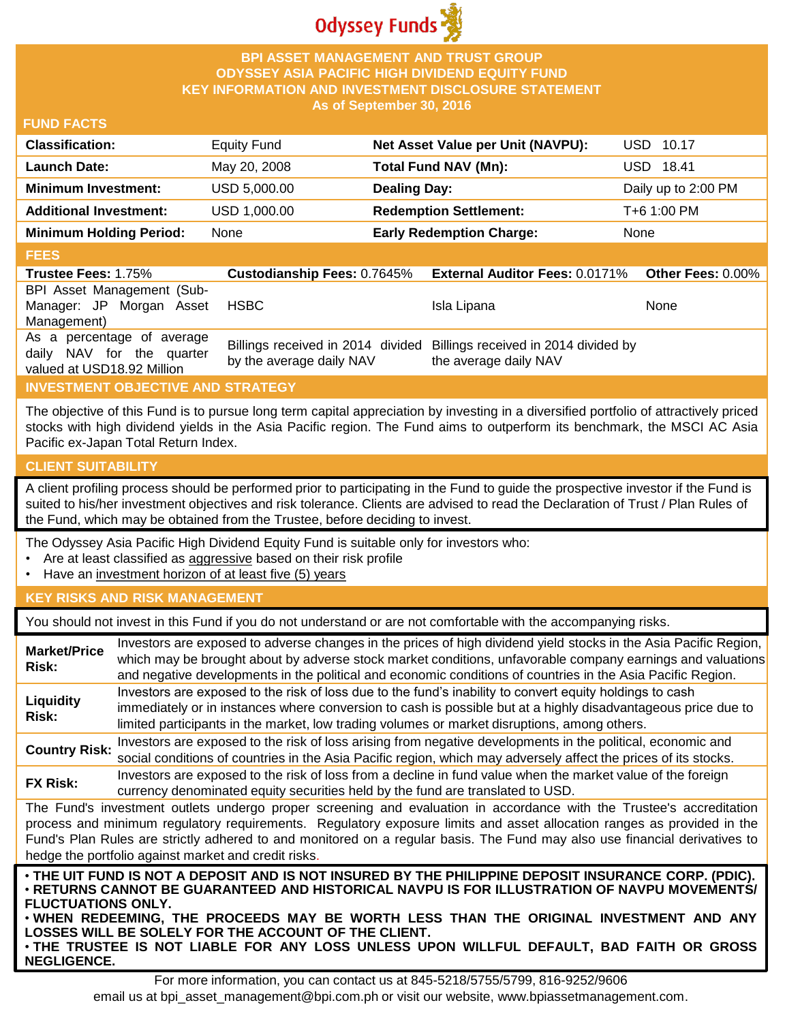

## **BPI ASSET MANAGEMENT AND TRUST GROUP ODYSSEY ASIA PACIFIC HIGH DIVIDEND EQUITY FUND KEY INFORMATION AND INVESTMENT DISCLOSURE STATEMENT As of September 30, 2016**

### **FUND FACTS**

| <b>Classification:</b>         | <b>Equity Fund</b> | Net Asset Value per Unit (NAVPU): | USD 10.17           |
|--------------------------------|--------------------|-----------------------------------|---------------------|
| <b>Launch Date:</b>            | May 20, 2008       | <b>Total Fund NAV (Mn):</b>       | USD 18.41           |
| <b>Minimum Investment:</b>     | USD 5,000.00       | <b>Dealing Day:</b>               | Daily up to 2:00 PM |
| <b>Additional Investment:</b>  | USD 1,000.00       | <b>Redemption Settlement:</b>     | T+6 1:00 PM         |
| <b>Minimum Holding Period:</b> | None               | <b>Early Redemption Charge:</b>   | None                |

## **FEES**

| <b>Trustee Fees: 1.75%</b>                                                            |                          | Custodianship Fees: 0.7645% External Auditor Fees: 0.0171% Other Fees: 0.00%                    |      |
|---------------------------------------------------------------------------------------|--------------------------|-------------------------------------------------------------------------------------------------|------|
| BPI Asset Management (Sub-                                                            |                          |                                                                                                 |      |
| Manager: JP Morgan Asset                                                              | HSBC                     | Isla Lipana                                                                                     | None |
| Management)                                                                           |                          |                                                                                                 |      |
| As a percentage of average<br>daily NAV for the quarter<br>valued at USD18.92 Million | by the average daily NAV | Billings received in 2014 divided Billings received in 2014 divided by<br>the average daily NAV |      |

# **INVESTMENT OBJECTIVE AND STRATEGY**

The objective of this Fund is to pursue long term capital appreciation by investing in a diversified portfolio of attractively priced stocks with high dividend yields in the Asia Pacific region. The Fund aims to outperform its benchmark, the MSCI AC Asia Pacific ex-Japan Total Return Index.

#### **CLIENT SUITABILITY**

**NEGLIGENCE.**

A client profiling process should be performed prior to participating in the Fund to guide the prospective investor if the Fund is suited to his/her investment objectives and risk tolerance. Clients are advised to read the Declaration of Trust / Plan Rules of the Fund, which may be obtained from the Trustee, before deciding to invest.

The Odyssey Asia Pacific High Dividend Equity Fund is suitable only for investors who:

- Are at least classified as aggressive based on their risk profile
- Have an investment horizon of at least five (5) years

### **KEY RISKS AND RISK MANAGEMENT**

You should not invest in this Fund if you do not understand or are not comfortable with the accompanying risks.

| <b>Market/Price</b><br>Risk:                                                                                                                                                                                                                                                                                                                                                                                                         | Investors are exposed to adverse changes in the prices of high dividend yield stocks in the Asia Pacific Region,<br>which may be brought about by adverse stock market conditions, unfavorable company earnings and valuations<br>and negative developments in the political and economic conditions of countries in the Asia Pacific Region. |  |  |  |  |
|--------------------------------------------------------------------------------------------------------------------------------------------------------------------------------------------------------------------------------------------------------------------------------------------------------------------------------------------------------------------------------------------------------------------------------------|-----------------------------------------------------------------------------------------------------------------------------------------------------------------------------------------------------------------------------------------------------------------------------------------------------------------------------------------------|--|--|--|--|
| Liquidity<br><b>Risk:</b>                                                                                                                                                                                                                                                                                                                                                                                                            | Investors are exposed to the risk of loss due to the fund's inability to convert equity holdings to cash<br>immediately or in instances where conversion to cash is possible but at a highly disadvantageous price due to<br>limited participants in the market, low trading volumes or market disruptions, among others.                     |  |  |  |  |
| <b>Country Risk:</b>                                                                                                                                                                                                                                                                                                                                                                                                                 | Investors are exposed to the risk of loss arising from negative developments in the political, economic and<br>social conditions of countries in the Asia Pacific region, which may adversely affect the prices of its stocks.                                                                                                                |  |  |  |  |
| <b>FX Risk:</b>                                                                                                                                                                                                                                                                                                                                                                                                                      | Investors are exposed to the risk of loss from a decline in fund value when the market value of the foreign<br>currency denominated equity securities held by the fund are translated to USD.                                                                                                                                                 |  |  |  |  |
| The Fund's investment outlets undergo proper screening and evaluation in accordance with the Trustee's accreditation<br>process and minimum regulatory requirements. Regulatory exposure limits and asset allocation ranges as provided in the<br>Fund's Plan Rules are strictly adhered to and monitored on a regular basis. The Fund may also use financial derivatives to<br>hedge the portfolio against market and credit risks. |                                                                                                                                                                                                                                                                                                                                               |  |  |  |  |
| . THE UIT FUND IS NOT A DEPOSIT AND IS NOT INSURED BY THE PHILIPPINE DEPOSIT INSURANCE CORP. (PDIC).<br>⋅RETURNS CANNOT BE GUARANTEED AND HISTORICAL NAVPU IS FOR ILLUSTRATION OF NAVPU MOVEMENTS/<br><b>FLUCTUATIONS ONLY.</b><br>. WHEN REDEEMING, THE PROCEEDS MAY BE WORTH LESS THAN THE ORIGINAL INVESTMENT AND ANY<br>LOSSES WILL BE SOLELY FOR THE ACCOUNT OF THE CLIENT.                                                     |                                                                                                                                                                                                                                                                                                                                               |  |  |  |  |

For more information, you can contact us at 845-5218/5755/5799, 816-9252/9606 email us at bpi\_asset\_management@bpi.com.ph or visit our website, www.bpiassetmanagement.com.

• **THE TRUSTEE IS NOT LIABLE FOR ANY LOSS UNLESS UPON WILLFUL DEFAULT, BAD FAITH OR GROSS**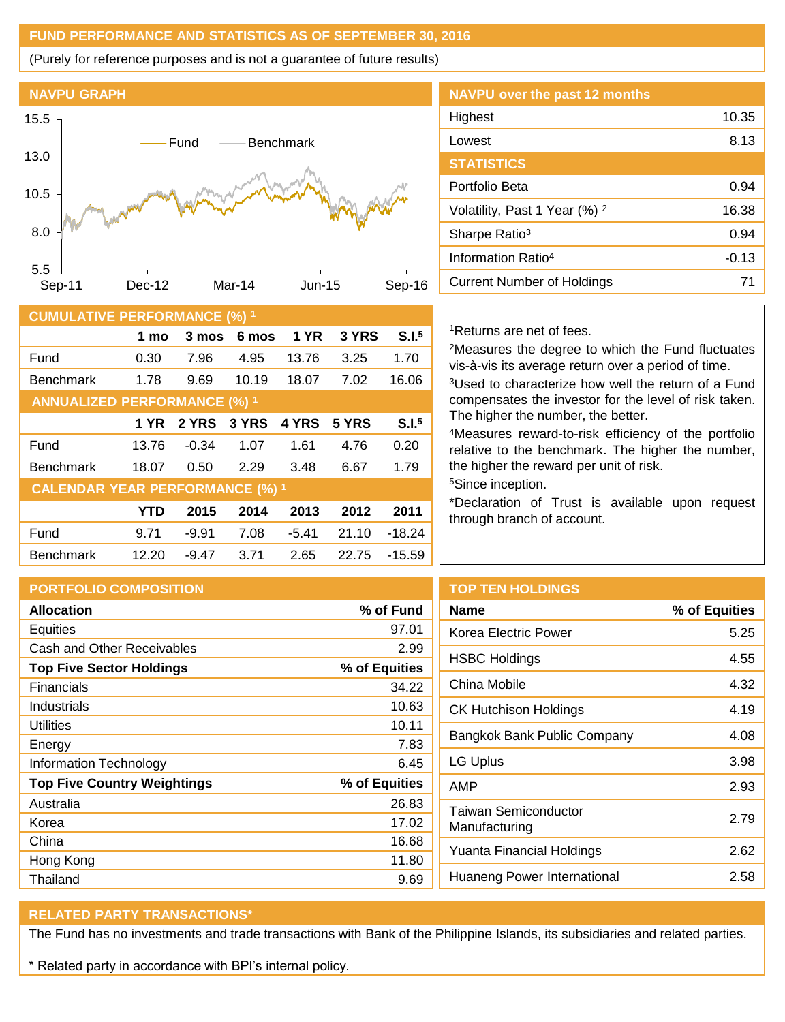## **FUND PERFORMANCE AND STATISTICS AS OF SEPTEMBER 30, 2016**

(Purely for reference purposes and is not a guarantee of future results)



| 10.5   |                              |                                     |        |                                   |             |                           |                   | Portfolio Beta                                                                                                       | 0.94    |
|--------|------------------------------|-------------------------------------|--------|-----------------------------------|-------------|---------------------------|-------------------|----------------------------------------------------------------------------------------------------------------------|---------|
|        |                              |                                     |        |                                   |             |                           |                   | Volatility, Past 1 Year (%) <sup>2</sup>                                                                             | 16.38   |
| 8.0    |                              |                                     |        |                                   |             | Sharpe Ratio <sup>3</sup> | 0.94              |                                                                                                                      |         |
| 5.5    |                              |                                     |        |                                   |             |                           |                   | Information Ratio <sup>4</sup>                                                                                       | $-0.13$ |
| Sep-11 | Mar-14<br>Dec-12<br>$Jun-15$ |                                     | Sep-16 | <b>Current Number of Holdings</b> | 71          |                           |                   |                                                                                                                      |         |
|        |                              | <b>CUMULATIVE PERFORMANCE (%) 1</b> |        |                                   |             |                           |                   |                                                                                                                      |         |
|        |                              | 1 mo                                | 3 mos  | 6 mos                             | <b>1 YR</b> | 3 YRS                     | S.I. <sup>5</sup> | <sup>1</sup> Returns are net of fees.                                                                                |         |
| Fund   |                              | 0.30                                | 7.96   | 4.95                              | 13.76       | 3.25                      | 1.70              | <sup>2</sup> Measures the degree to which the Fund fluctuates<br>vis-à-vis its average return over a period of time. |         |
|        | <b>Benchmark</b>             | 1.78                                | 9.69   | 10.19                             | 18.07       | 7.02                      | 16.06             | <sup>3</sup> Used to characterize how well the return of a Fund                                                      |         |
|        |                              | <b>ANNUALIZED PERFORMANCE (%) 1</b> |        |                                   |             |                           |                   | compensates the investor for the level of risk taken.                                                                |         |

| <b>NAVPU over the past 12 months</b>     |         |
|------------------------------------------|---------|
| Highest                                  | 10.35   |
| Lowest                                   | 8.13    |
| <b>STATISTICS</b>                        |         |
| Portfolio Beta                           | 0.94    |
| Volatility, Past 1 Year (%) <sup>2</sup> | 16.38   |
| Sharpe Ratio <sup>3</sup>                | 0.94    |
| Information Ratio <sup>4</sup>           | $-0.13$ |
| Cursent Number of Holdings               | 74      |

|                                        | 1 mo       | 3 mos   | 6 mos | <b>1 YR</b> | 3 YRS | S.I. <sup>5</sup> |  |
|----------------------------------------|------------|---------|-------|-------------|-------|-------------------|--|
| Fund                                   | 0.30       | 7.96    | 4.95  | 13.76       | 3.25  | 1.70              |  |
| <b>Benchmark</b>                       | 1.78       | 9.69    | 10.19 | 18.07       | 7.02  | 16.06             |  |
| <b>ANNUALIZED PERFORMANCE (%) 1</b>    |            |         |       |             |       |                   |  |
|                                        | 1 YR       | 2 YRS   | 3 YRS | 4 YRS       | 5 YRS | S.I. <sup>5</sup> |  |
| Fund                                   | 13.76      | $-0.34$ | 1.07  | 1.61        | 4.76  | 0.20              |  |
| <b>Benchmark</b>                       | 18.07      | 0.50    | 2.29  | 3.48        | 6.67  | 1.79              |  |
| <b>CALENDAR YEAR PERFORMANCE (%) 1</b> |            |         |       |             |       |                   |  |
|                                        | <b>YTD</b> | 2015    | 2014  | 2013        | 2012  | 2011              |  |
| Fund                                   | 9.71       | $-9.91$ | 7.08  | $-5.41$     | 21.10 | $-18.24$          |  |
| <b>Benchmark</b>                       | 12.20      | $-9.47$ | 3.71  | 2.65        | 22.75 | $-15.59$          |  |

well the return of a Fund for the level of risk taken. The higher the number, the better.

<sup>4</sup>Measures reward-to-risk efficiency of the portfolio relative to the benchmark. The higher the number, the higher the reward per unit of risk.

<sup>5</sup>Since inception.

\*Declaration of Trust is available upon request through branch of account.

**Name % of Equities**

|               | <b>TOP1</b>  |
|---------------|--------------|
| % of Fund     | <b>Name</b>  |
| 97.01         | Korea        |
| 2.99          |              |
| % of Equities | <b>HSBC</b>  |
| 34.22         | China        |
| 10.63         | <b>CK Ht</b> |
| 10.11         |              |
| 7.83          | Bangk        |
| 6.45          | LG Up        |
| % of Equities | AMP          |
| 26.83         | Taiwa        |
| 17.02         | Manut        |
| 16.68         | Yuant        |
| 11.80         |              |
| 9.69          | Huane        |
|               |              |

**TEN HOLDINGS** 

| 5.25 |
|------|
| 4.55 |
| 4.32 |
| 4.19 |
| 4.08 |
| 3.98 |
| 2.93 |
| 2.79 |
| 2.62 |
| 2.58 |
|      |

# **RELATED PARTY TRANSACTIONS\***

The Fund has no investments and trade transactions with Bank of the Philippine Islands, its subsidiaries and related parties.

\* Related party in accordance with BPI's internal policy.